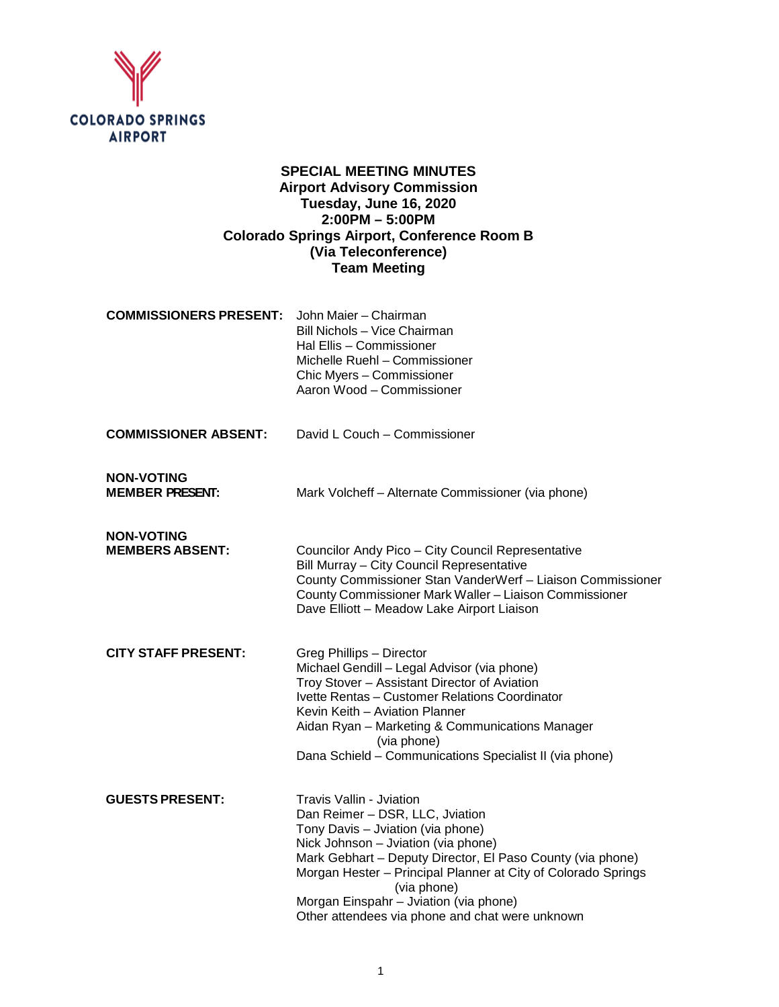

# **SPECIAL MEETING MINUTES Airport Advisory Commission Tuesday, June 16, 2020 2:00PM – 5:00PM Colorado Springs Airport, Conference Room B (Via Teleconference) Team Meeting**

| <b>COMMISSIONERS PRESENT:</b>               | John Maier - Chairman<br>Bill Nichols - Vice Chairman<br>Hal Ellis - Commissioner<br>Michelle Ruehl - Commissioner<br>Chic Myers - Commissioner<br>Aaron Wood - Commissioner                                                                                                                                                                                                              |
|---------------------------------------------|-------------------------------------------------------------------------------------------------------------------------------------------------------------------------------------------------------------------------------------------------------------------------------------------------------------------------------------------------------------------------------------------|
| <b>COMMISSIONER ABSENT:</b>                 | David L Couch - Commissioner                                                                                                                                                                                                                                                                                                                                                              |
| <b>NON-VOTING</b><br><b>MEMBER PRESENT:</b> | Mark Volcheff - Alternate Commissioner (via phone)                                                                                                                                                                                                                                                                                                                                        |
| <b>NON-VOTING</b><br><b>MEMBERS ABSENT:</b> | Councilor Andy Pico - City Council Representative<br>Bill Murray - City Council Representative<br>County Commissioner Stan VanderWerf - Liaison Commissioner<br>County Commissioner Mark Waller - Liaison Commissioner<br>Dave Elliott - Meadow Lake Airport Liaison                                                                                                                      |
| <b>CITY STAFF PRESENT:</b>                  | Greg Phillips - Director<br>Michael Gendill - Legal Advisor (via phone)<br>Troy Stover - Assistant Director of Aviation<br>Ivette Rentas - Customer Relations Coordinator<br>Kevin Keith - Aviation Planner<br>Aidan Ryan - Marketing & Communications Manager<br>(via phone)<br>Dana Schield - Communications Specialist II (via phone)                                                  |
| <b>GUESTS PRESENT:</b>                      | <b>Travis Vallin - Jviation</b><br>Dan Reimer - DSR, LLC, Jviation<br>Tony Davis - Jviation (via phone)<br>Nick Johnson - Jviation (via phone)<br>Mark Gebhart - Deputy Director, El Paso County (via phone)<br>Morgan Hester - Principal Planner at City of Colorado Springs<br>(via phone)<br>Morgan Einspahr - Jviation (via phone)<br>Other attendees via phone and chat were unknown |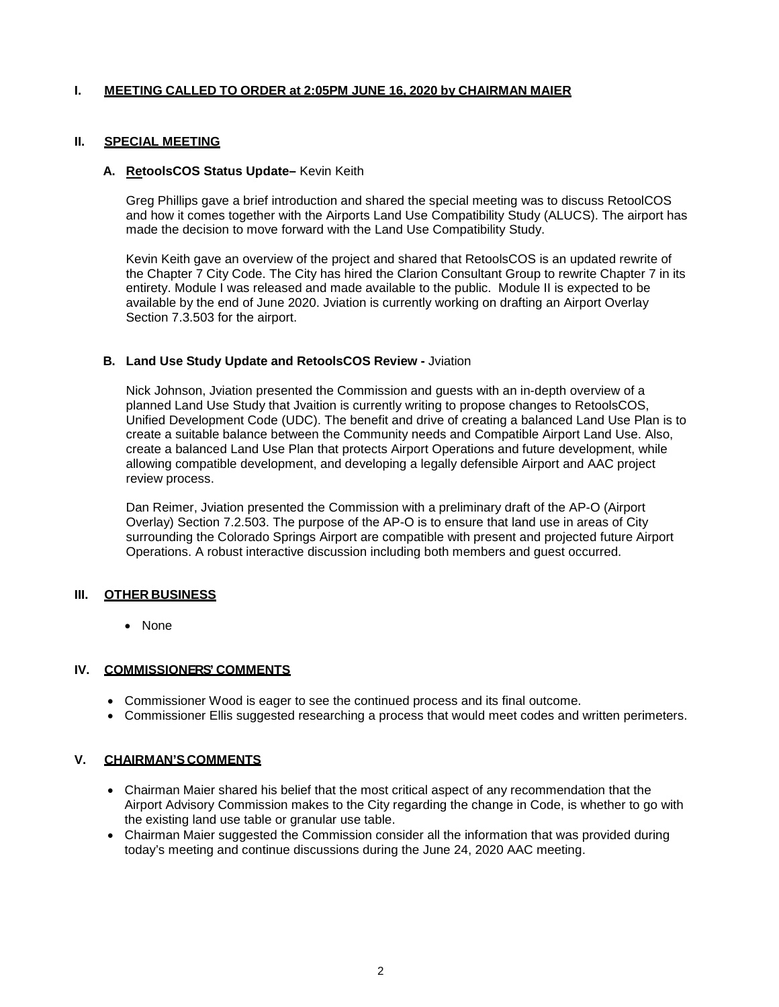### **I. MEETING CALLED TO ORDER at 2:05PM JUNE 16, 2020 by CHAIRMAN MAIER**

### **II. SPECIAL MEETING**

### **A. RetoolsCOS Status Update–** Kevin Keith

Greg Phillips gave a brief introduction and shared the special meeting was to discuss RetoolCOS and how it comes together with the Airports Land Use Compatibility Study (ALUCS). The airport has made the decision to move forward with the Land Use Compatibility Study.

Kevin Keith gave an overview of the project and shared that RetoolsCOS is an updated rewrite of the Chapter 7 City Code. The City has hired the Clarion Consultant Group to rewrite Chapter 7 in its entirety. Module I was released and made available to the public. Module II is expected to be available by the end of June 2020. Jviation is currently working on drafting an Airport Overlay Section 7.3.503 for the airport.

### **B. Land Use Study Update and RetoolsCOS Review -** Jviation

Nick Johnson, Jviation presented the Commission and guests with an in-depth overview of a planned Land Use Study that Jvaition is currently writing to propose changes to RetoolsCOS, Unified Development Code (UDC). The benefit and drive of creating a balanced Land Use Plan is to create a suitable balance between the Community needs and Compatible Airport Land Use. Also, create a balanced Land Use Plan that protects Airport Operations and future development, while allowing compatible development, and developing a legally defensible Airport and AAC project review process.

Dan Reimer, Jviation presented the Commission with a preliminary draft of the AP-O (Airport Overlay) Section 7.2.503. The purpose of the AP-O is to ensure that land use in areas of City surrounding the Colorado Springs Airport are compatible with present and projected future Airport Operations. A robust interactive discussion including both members and guest occurred.

### **III. OTHER BUSINESS**

• None

### **IV. COMMISSIONERS' COMMENTS**

- Commissioner Wood is eager to see the continued process and its final outcome.
- Commissioner Ellis suggested researching a process that would meet codes and written perimeters.

## **V. CHAIRMAN'S COMMENTS**

- Chairman Maier shared his belief that the most critical aspect of any recommendation that the Airport Advisory Commission makes to the City regarding the change in Code, is whether to go with the existing land use table or granular use table.
- Chairman Maier suggested the Commission consider all the information that was provided during today's meeting and continue discussions during the June 24, 2020 AAC meeting.